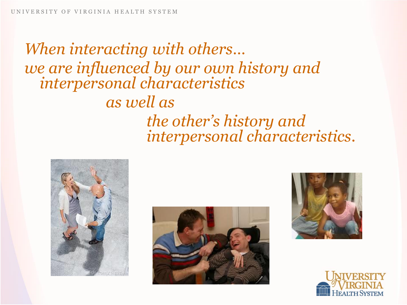*When interacting with others… we are influenced by our own history and interpersonal characteristics as well as the other's history and interpersonal characteristics.* 







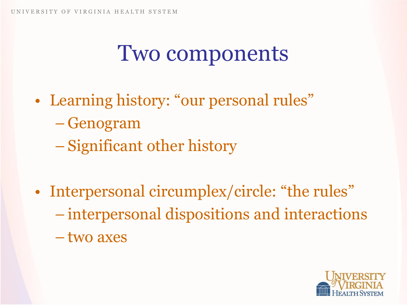### Two components

- Learning history: "our personal rules" – Genogram
	- Significant other history
- Interpersonal circumplex/circle: "the rules" – interpersonal dispositions and interactions – two axes

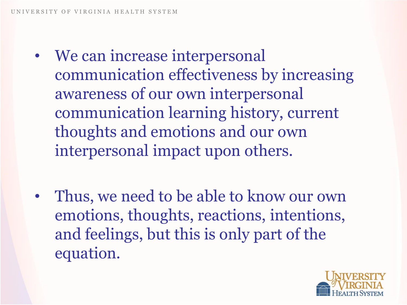- We can increase interpersonal communication effectiveness by increasing awareness of our own interpersonal communication learning history, current thoughts and emotions and our own interpersonal impact upon others.
- Thus, we need to be able to know our own emotions, thoughts, reactions, intentions, and feelings, but this is only part of the equation.

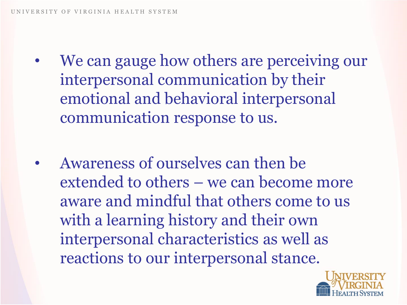- We can gauge how others are perceiving our interpersonal communication by their emotional and behavioral interpersonal communication response to us.
- Awareness of ourselves can then be extended to others – we can become more aware and mindful that others come to us with a learning history and their own interpersonal characteristics as well as reactions to our interpersonal stance.

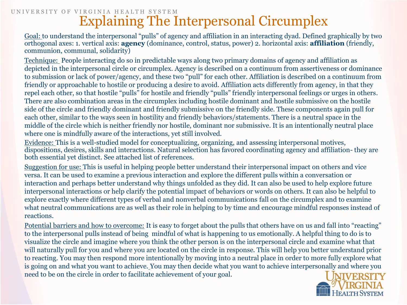#### UNIVERSITY OF VIRGINIA HEALTH SYSTEM Explaining The Interpersonal Circumplex

Goal: to understand the interpersonal "pulls" of agency and affiliation in an interacting dyad. Defined graphically by two orthogonal axes: 1. vertical axis: **agency** (dominance, control, status, power) 2. horizontal axis: **affiliation** (friendly, communion, communal, solidarity)

Technique: People interacting do so in predictable ways along two primary domains of agency and affiliation as depicted in the interpersonal circle or circumplex. Agency is described on a continuum from assertiveness or dominance to submission or lack of power/agency, and these two "pull" for each other. Affiliation is described on a continuum from friendly or approachable to hostile or producing a desire to avoid. Affiliation acts differently from agency, in that they repel each other, so that hostile "pulls" for hostile and friendly "pulls" friendly interpersonal feelings or urges in others. There are also combination areas in the circumplex including hostile dominant and hostile submissive on the hostile side of the circle and friendly dominant and friendly submissive on the friendly side. These components again pull for each other, similar to the ways seen in hostility and friendly behaviors/statements. There is a neutral space in the middle of the circle which is neither friendly nor hostile, dominant nor submissive. It is an intentionally neutral place where one is mindfully aware of the interactions, yet still involved.

Evidence: This is a well-studied model for conceptualizing, organizing, and assessing interpersonal motives, dispositions, desires, skills and interactions. Natural selection has favored coordinating agency and affiliation- they are both essential yet distinct. See attached list of references.

Suggestion for use: This is useful in helping people better understand their interpersonal impact on others and vice versa. It can be used to examine a previous interaction and explore the different pulls within a conversation or interaction and perhaps better understand why things unfolded as they did. It can also be used to help explore future interpersonal interactions or help clarify the potential impact of behaviors or words on others. It can also be helpful to explore exactly where different types of verbal and nonverbal communications fall on the circumplex and to examine what neutral communications are as well as their role in helping to by time and encourage mindful responses instead of reactions.

Potential barriers and how to overcome: It is easy to forget about the pulls that others have on us and fall into "reacting" to the interpersonal pulls instead of being mindful of what is happening to us emotionally. A helpful thing to do is to visualize the circle and imagine where you think the other person is on the interpersonal circle and examine what that will naturally pull for you and where you are located on the circle in response. This will help you better understand prior to reacting. You may then respond more intentionally by moving into a neutral place in order to more fully explore what is going on and what you want to achieve. You may then decide what you want to achieve interpersonally and where you need to be on the circle in order to facilitate achievement of your goal.

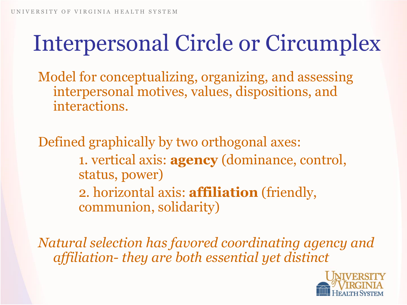# Interpersonal Circle or Circumplex

Model for conceptualizing, organizing, and assessing interpersonal motives, values, dispositions, and interactions.

Defined graphically by two orthogonal axes: 1. vertical axis: **agency** (dominance, control, status, power) 2. horizontal axis: **affiliation** (friendly, communion, solidarity)

*Natural selection has favored coordinating agency and affiliation- they are both essential yet distinct*

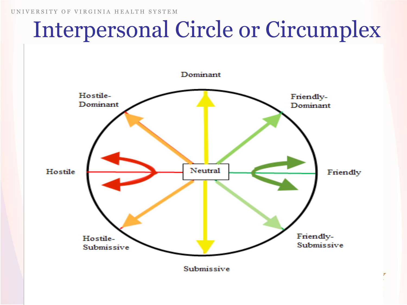## Interpersonal Circle or Circumplex

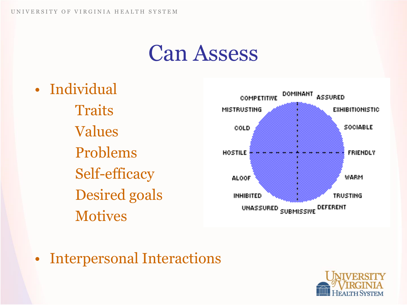### Can Assess

• Individual

**Traits** Values Problems Self-efficacy Desired goals **Motives** 



• Interpersonal Interactions

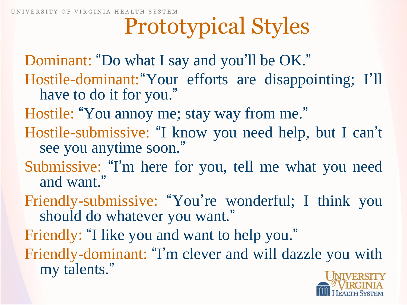## Prototypical Styles

Dominant: "Do what I say and you 'll be OK." Hostile-dominant: "Your efforts are disappointing; I'll have to do it for you."

Hostile: "You annoy me; stay way from me."

- Hostile-submissive: "I know you need help, but I can 't see you anytime soon."
- Submissive: "I' m here for you, tell me what you need and want."
- Friendly-submissive: "You' re wonderful; I think you should do whatever you want."

Friendly: "I like you and want to help you."

Friendly-dominant: "I' m clever and will dazzle you with my talents."

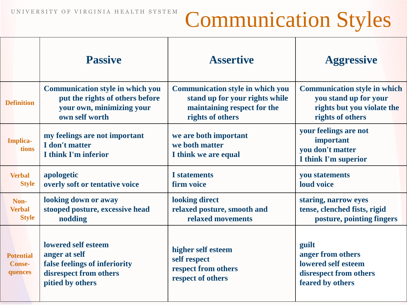### UNIVERSITY OF VIRGINIA HEALTH SYSTEM Communication Styles

|                                              | <b>Passive</b>                                                                                                      | <b>Assertive</b>                                                               | <b>Aggressive</b>                                                                               |
|----------------------------------------------|---------------------------------------------------------------------------------------------------------------------|--------------------------------------------------------------------------------|-------------------------------------------------------------------------------------------------|
| <b>Definition</b>                            | <b>Communication style in which you</b>                                                                             | <b>Communication style in which you</b>                                        | <b>Communication style in which</b>                                                             |
|                                              | put the rights of others before                                                                                     | stand up for your rights while                                                 | you stand up for your                                                                           |
|                                              | your own, minimizing your                                                                                           | maintaining respect for the                                                    | rights but you violate the                                                                      |
|                                              | own self worth                                                                                                      | rights of others                                                               | rights of others                                                                                |
| Implica-<br>tions                            | my feelings are not important<br>I don't matter<br>I think I'm inferior                                             | we are both important<br>we both matter<br>I think we are equal                | your feelings are not<br>important<br>you don't matter<br>I think I'm superior                  |
| <b>Verbal</b>                                | apologetic                                                                                                          | <b>I</b> statements                                                            | you statements                                                                                  |
| <b>Style</b>                                 | overly soft or tentative voice                                                                                      | firm voice                                                                     | loud voice                                                                                      |
| Non-                                         | looking down or away                                                                                                | looking direct                                                                 | staring, narrow eyes                                                                            |
| <b>Verbal</b>                                | stooped posture, excessive head                                                                                     | relaxed posture, smooth and                                                    | tense, clenched fists, rigid                                                                    |
| <b>Style</b>                                 | nodding                                                                                                             | relaxed movements                                                              | posture, pointing fingers                                                                       |
| <b>Potential</b><br><b>Conse-</b><br>quences | lowered self esteem<br>anger at self<br>false feelings of inferiority<br>disrespect from others<br>pitied by others | higher self esteem<br>self respect<br>respect from others<br>respect of others | guilt<br>anger from others<br>lowered self esteem<br>disrespect from others<br>feared by others |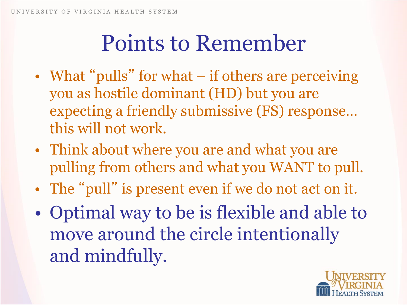## Points to Remember

- What "pulls" for what if others are perceiving you as hostile dominant (HD) but you are expecting a friendly submissive (FS) response… this will not work.
- Think about where you are and what you are pulling from others and what you WANT to pull.
- The "pull" is present even if we do not act on it.
- Optimal way to be is flexible and able to move around the circle intentionally and mindfully.

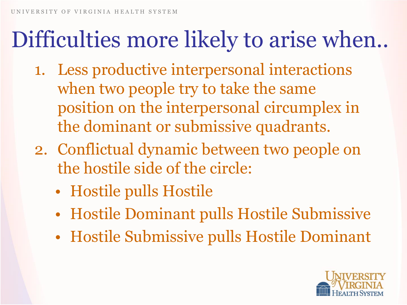# Difficulties more likely to arise when..

- 1. Less productive interpersonal interactions when two people try to take the same position on the interpersonal circumplex in the dominant or submissive quadrants.
- 2. Conflictual dynamic between two people on the hostile side of the circle:
	- Hostile pulls Hostile
	- Hostile Dominant pulls Hostile Submissive
	- Hostile Submissive pulls Hostile Dominant

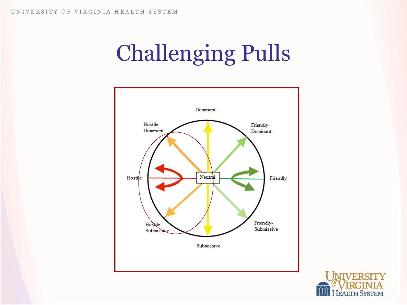# Challenging Pulls



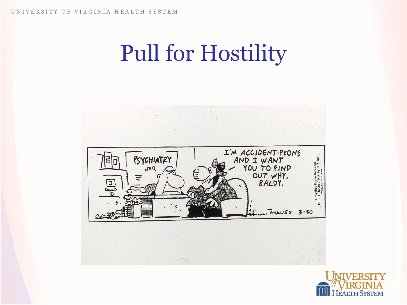# Pull for Hostility



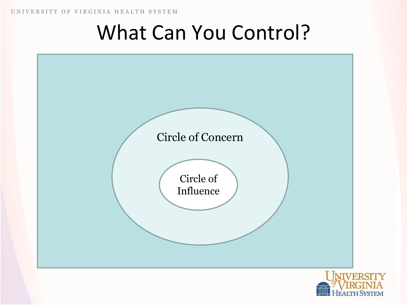UNIVERSITY OF VIRGINIA HEALTH SYSTEM

### What Can You Control?



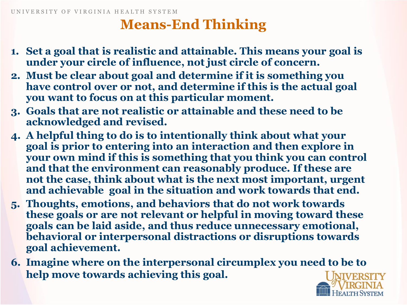### **Means-End Thinking**

- **1. Set a goal that is realistic and attainable. This means your goal is under your circle of influence, not just circle of concern.**
- **2. Must be clear about goal and determine if it is something you have control over or not, and determine if this is the actual goal you want to focus on at this particular moment.**
- **3. Goals that are not realistic or attainable and these need to be acknowledged and revised.**
- **4. A helpful thing to do is to intentionally think about what your goal is prior to entering into an interaction and then explore in your own mind if this is something that you think you can control and that the environment can reasonably produce. If these are not the case, think about what is the next most important, urgent and achievable goal in the situation and work towards that end.**
- **5. Thoughts, emotions, and behaviors that do not work towards these goals or are not relevant or helpful in moving toward these goals can be laid aside, and thus reduce unnecessary emotional, behavioral or interpersonal distractions or disruptions towards goal achievement.**
- **6. Imagine where on the interpersonal circumplex you need to be to help move towards achieving this goal.**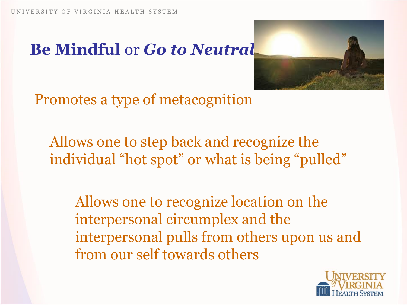### **Be Mindful** or *Go to Neutral*



Promotes a type of metacognition

Allows one to step back and recognize the individual "hot spot" or what is being "pulled"

Allows one to recognize location on the interpersonal circumplex and the interpersonal pulls from others upon us and from our self towards others

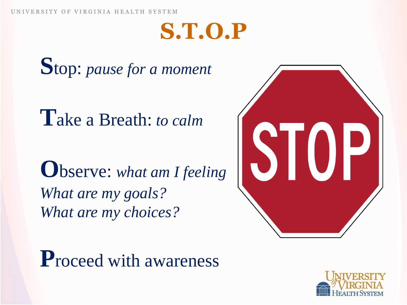### **S.T.O.P**

**S**top: *pause for a moment*

**T**ake a Breath: *to calm* 

**O**bserve: *what am I feeling What are my goals? What are my choices?*



**P**roceed with awareness

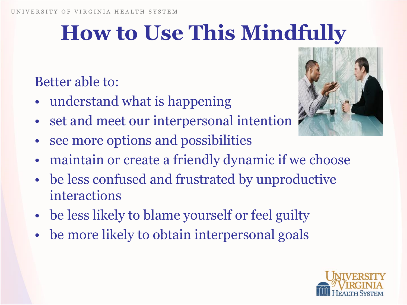### **How to Use This Mindfully**

### Better able to:

- understand what is happening
- set and meet our interpersonal intention
- see more options and possibilities
- maintain or create a friendly dynamic if we choose
- be less confused and frustrated by unproductive interactions
- be less likely to blame yourself or feel guilty
- be more likely to obtain interpersonal goals



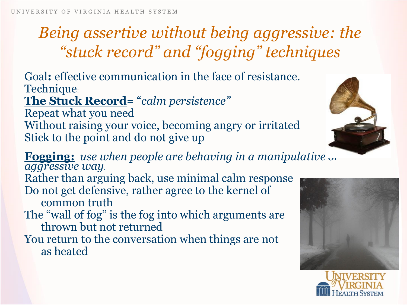### *Being assertive without being aggressive: the "stuck record" and "fogging" techniques*

Goal**:** effective communication in the face of resistance. Technique:

**The Stuck Record**= "*calm persistence"*

Repeat what you need Without raising your voice, becoming angry or irritated Stick to the point and do not give up







**Fogging:** *use when people are behaving in a manipulative or aggressive way*.

Rather than arguing back, use minimal calm response Do not get defensive, rather agree to the kernel of common truth

The "wall of fog" is the fog into which arguments are thrown but not returned

You return to the conversation when things are not as heated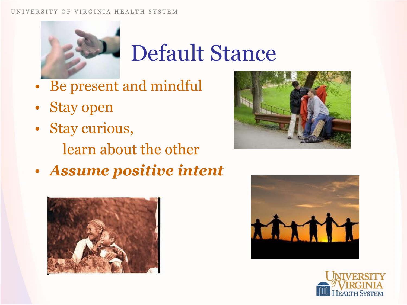#### VERSITY OF VIRGINIA HEALTH SYSTEM



### Default Stance

- Be present and mindful
- Stay open
- Stay curious,
	- learn about the other
- *Assume positive intent*







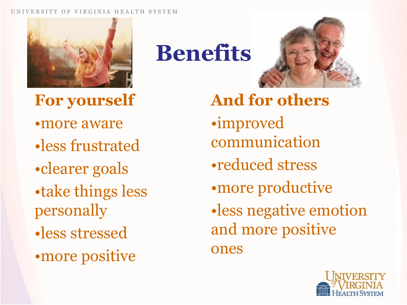#### OF VIRGINIA HEALTH SYSTEM



**For yourself**

- •more aware
- •less frustrated
- •clearer goals
- •take things less personally
- •less stressed
- •more positive

**Benefits**



**And for others** •improved communication •reduced stress •more productive •less negative emotion and more positive ones